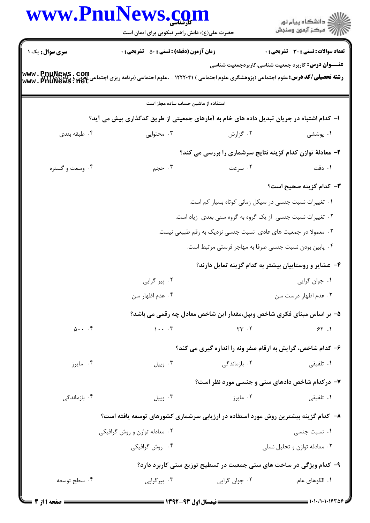|                           | <b>www.PnuNews.co.</b><br>حضرت علی(ع): دانش راهبر نیکویی برای ایمان است                                                                                               |                                                                       | ڪ دانشڪاه پيام نور<br>ر∕⊂ مرڪز آزمون وسنڊش                |
|---------------------------|-----------------------------------------------------------------------------------------------------------------------------------------------------------------------|-----------------------------------------------------------------------|-----------------------------------------------------------|
| سری سوال : یک ۱           | <b>زمان آزمون (دقیقه) : تستی : 50 ٪ تشریحی : 0</b>                                                                                                                    |                                                                       | تعداد سوالات : تستي : 30 ٪ تشريحي : 0                     |
|                           | <b>رشته تحصیلی/کد درس:</b> علوم اجتماعی (پژوهشگری علوم اجتماعی ) ۱۲۲۲۰۴۱ - ،علوم اجتماعی (برنامه ریزی اجتماعی تعاون و ,<br>Www . PnuNews . Net<br>Www . PnuNews . Net |                                                                       | <b>عنـــوان درس:</b> کاربرد جمعیت شناسی،کاربردجمعیت شناسی |
|                           | استفاده از ماشین حساب ساده مجاز است                                                                                                                                   |                                                                       |                                                           |
|                           | ا– کدام اشتباه در جریان تبدیل داده های خام به آمارهای جمعیتی از طریق کدگذاری پیش می آید؟                                                                              |                                                                       |                                                           |
| ۰۴ طبقه بندی              | ۰۳ محتوایی                                                                                                                                                            | ۰۲ گزارش                                                              | ۰۱ پوششی                                                  |
|                           |                                                                                                                                                                       | ۲- معادلهٔ توازن کدام گزینه نتایج سرشماری را بررسی می کند؟            |                                                           |
| ۰۴ وسعت و گستره           | ۰۳ حجم                                                                                                                                                                | ۰۲ سرعت                                                               | ۰۱ دقت                                                    |
|                           |                                                                                                                                                                       |                                                                       | <b>٣</b> – كدام گزينه صحيح است؟                           |
|                           |                                                                                                                                                                       | ۰۱ تغییرات نسبت جنسی در سیکل زمانی کوتاه بسیار کم است.                |                                                           |
|                           |                                                                                                                                                                       | ۰۲ تغییرات نسبت جنسی از یک گروه به گروه سنی بعدی زیاد است.            |                                                           |
|                           |                                                                                                                                                                       | ۰۳ معمولا در جمعیت های عادی نسبت جنسی نزدیک به رقم طبیعی نیست.        |                                                           |
|                           |                                                                                                                                                                       | ۰۴ پایین بودن نسبت جنسی صرفا به مهاجر فرستی مرتبط است.                |                                                           |
|                           |                                                                                                                                                                       | ۴- عشایر و روستاییان بیشتر به کدام گزینه تمایل دارند؟                 |                                                           |
|                           | ۰۲ پیر گرایی                                                                                                                                                          |                                                                       | ٠١ جوان گرايي                                             |
|                           | ۰۴ عدم اظهار سن                                                                                                                                                       |                                                                       | ۰۳ عدم اظهار درست سن                                      |
|                           |                                                                                                                                                                       | ۵– بر اساس مبنای فکری شاخص ویپل،مقدار این شاخص معادل چه رقمی می باشد؟ |                                                           |
| $0 \cdot \cdot \cdot$ . ۴ | $1 \cdot \cdot \cdot$ .                                                                                                                                               | $\gamma \gamma$ . $\gamma$                                            | 55.1                                                      |
|                           |                                                                                                                                                                       | ۶- کدام شاخص، گرایش به ارقام صفر ونه را اندازه گیری می کند؟           |                                                           |
| ۰۴ مايرز                  | ۰۳ ویپل                                                                                                                                                               | ۰۲ بازماندگی                                                          | ۰۱ تلفیقی                                                 |
|                           |                                                                                                                                                                       | ۷- درکدام شاخص دادهای سنی و جنسی مورد نظر است؟                        |                                                           |
| ۰۴ بازماندگی              | ۰۳ ویپل                                                                                                                                                               | ۰۲ مایرز                                                              | ۰۱ تلفیقی                                                 |
|                           | ۸– کدام گزینه بیشترین روش مورد استفاده در ارزیابی سرشماری کشورهای توسعه یافته است؟                                                                                    |                                                                       |                                                           |
|                           | ۰۲ معادله توازن و روش گرافیکی                                                                                                                                         |                                                                       | ۰۱ نسبت جنسی                                              |
|                           | ۰۴ روش گرافیکی                                                                                                                                                        |                                                                       | ۰۳ معادله توازن و تحلیل نسلی                              |
|                           |                                                                                                                                                                       | ۹- کدام ویژگی در ساخت های سنی جمعیت در تسطیح توزیع سنی کاربرد دارد؟   |                                                           |
| ۰۴ سطح توسعه              | ۰۳ پیرگرایی                                                                                                                                                           | ۰۲ جوان گرايي                                                         | ٠١. الگوهاي عام                                           |
|                           |                                                                                                                                                                       |                                                                       |                                                           |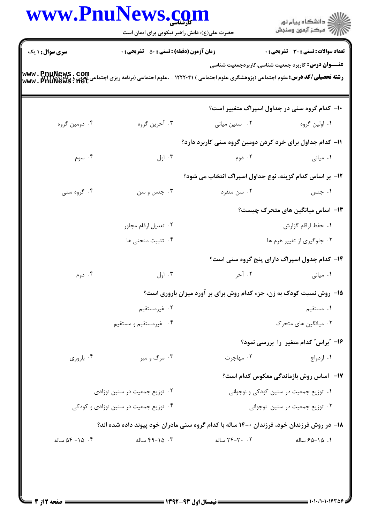|                               | حضرت علی(ع): دانش راهبر نیکویی برای ایمان است                                             |                                                                      | ر<br>دانشڪاه پيام نور<br>ا∛ مرکز آزمون وسنڊش              |
|-------------------------------|-------------------------------------------------------------------------------------------|----------------------------------------------------------------------|-----------------------------------------------------------|
| <b>سری سوال : ۱ یک</b>        | <b>زمان آزمون (دقیقه) : تستی : 50 ٪ تشریحی : 0</b>                                        |                                                                      | <b>تعداد سوالات : تستی : 30 ٪ تشریحی : 0</b>              |
|                               |                                                                                           |                                                                      | <b>عنـــوان درس:</b> کاربرد جمعیت شناسی،کاربردجمعیت شناسی |
|                               |                                                                                           |                                                                      | ۱۰– کدام گروه سنی در جداول اسپراگ متغییر است؟             |
| ۰۴ دومین گروه                 | ۰۳ آخرین گروه                                                                             | ۰۲ سنین میانی                                                        | ۰۱ اولین گروه                                             |
|                               |                                                                                           | ۱۱– کدام جداول برای خرد کردن دومین گروه سنی کاربرد دارد؟             |                                                           |
| ۰۴ سوم                        | ۰۳ اول                                                                                    | ۰۲ دوم                                                               | ۰۱ میانی                                                  |
|                               |                                                                                           | 1۲- بر اساس کدام گزینه، نوع جداول اسپراگ انتخاب می شود؟              |                                                           |
| ۰۴ گروه سنی                   | ۰۳ جنس و سن                                                                               | ۰۲ سن منفرد                                                          | ۰۱ جنس                                                    |
|                               |                                                                                           |                                                                      | <b>۱۳</b> – اساس میانگین های متحرک چیست؟                  |
|                               | ۰۲ تعدیل ارقام مجاور                                                                      |                                                                      | ٠١. حفظ ارقام گزارش                                       |
|                               | ۰۴ تثبیت منحنی ها                                                                         |                                                                      | ۰۳ جلوگیری از تغییر هرم ها                                |
|                               |                                                                                           |                                                                      | ۱۴- کدام جدول اسپراگ دارای پنج گروه سنی است؟              |
| ۰۴ دوم                        | ۰۳ اول                                                                                    | ۰۲ آخر                                                               | ۰۱ میان <sub>ی</sub>                                      |
|                               |                                                                                           | ۱۵- روش نسبت کودک به زن، جزء کدام روش برای بر آورد میزان باروری است؟ |                                                           |
|                               | ۰۲ غیرمستقیم                                                                              |                                                                      | ۰۱ مستقیم                                                 |
|                               | ۰۴ غیرمستقیم و مستقیم                                                                     |                                                                      | ۰۳ میانگین های متحرک                                      |
|                               |                                                                                           |                                                                      | ۱۶– "براس" کدام متغیر ً را بررسی نمود؟                    |
| ۰۴ باروری                     | ۰۳ مرگ و میر                                                                              | ۰۲ مهاجرت                                                            | ۰۱ ازدواج                                                 |
|                               |                                                                                           |                                                                      | 17- اساس روش بازماندگی معکوس کدام است؟                    |
| ۰۲ توزیع جمعیت در سنین نوزادی |                                                                                           | ۰۱ توزیع جمعیت در سنین کودکی و نوجوانی                               |                                                           |
|                               | ۰۴ توزیع جمعیت در سنین نوزادی و کودکی                                                     |                                                                      | ۰۳ توزیع جمعیت در سنین نوجوانی                            |
|                               | ۱۸- در روش فرزندان خود، فرزندان ۰-۱۴ ساله با کدام گروه سنی مادران خود پیوند داده شده اند؟ |                                                                      |                                                           |
| $\Delta f - 1\Delta$ . ۴      | ۰۳ ـ ۴۹–۴۹ ساله                                                                           | ٢. ٢٠-٢۴ ساله                                                        | ٠١. ١٥-٤۵ ساله                                            |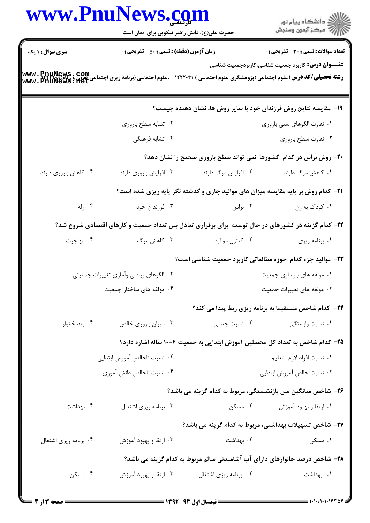|                        | www.PnuNews.com<br>حضرت علی(ع): دانش راهبر نیکویی برای ایمان است  |                       | ر<br>دانشگاه پيام نور<br>ا∛هرکز آزمون وسنجش                                                                                                                                                                                     |  |
|------------------------|-------------------------------------------------------------------|-----------------------|---------------------------------------------------------------------------------------------------------------------------------------------------------------------------------------------------------------------------------|--|
| <b>سری سوال : ۱ یک</b> | <b>زمان آزمون (دقیقه) : تستی : 50 ٪ تشریحی : 0</b>                |                       | <b>تعداد سوالات : تستی : 30 ٪ تشریحی : 0</b>                                                                                                                                                                                    |  |
|                        |                                                                   |                       | <b>عنـــوان درس:</b> کاربرد جمعیت شناسی،کاربردجمعیت شناسی<br><b>رشته تحصیلی/کد درس:</b> علوم اجتماعی (پژوهشگری علوم اجتماعی ) ۱۲۲۲۰۴۱ - ،علوم اجتماعی (برنامه ریزی اجتماعی تعاون و , www . PnuNews . Com<br>www . PnuNews . net |  |
|                        | ۱۹- مقایسه نتایج روش فرزندان خود با سایر روش ها، نشان دهنده چیست؟ |                       |                                                                                                                                                                                                                                 |  |
|                        | ۰۲ تشابه سطح باروری                                               |                       | ۰۱ تفاوت الگوهای سنی باروری                                                                                                                                                                                                     |  |
|                        | ۰۴ تشابه فرهنگی                                                   |                       | ۰۳ تفاوت سطح باروري                                                                                                                                                                                                             |  |
|                        |                                                                   |                       | <b>۰۲</b> - روش براس در کدام کشورها نمی تواند سطح باروری صحیح را نشان دهد؟                                                                                                                                                      |  |
| ۰۴ کاهش باروری دارند   | ۰۳ افزایش باروری دارند                                            | ۰۲ افزایش مرگ دارند   | ۰۱ کاهش مرگ دارند                                                                                                                                                                                                               |  |
|                        |                                                                   |                       | <b>۲۱</b> - کدام روش بر پایه مقایسه میزان های موالید جاری و گذشته نگر پایه ریزی شده است؟                                                                                                                                        |  |
| ۰۴ رله                 | ۰۳ فرزندان خود                                                    | ۰۲ براس               | ۰۱ کودک به زن                                                                                                                                                                                                                   |  |
|                        |                                                                   |                       | ۲۲– کدام گزینه در کشورهای در حال توسعه برای برقراری تعادل بین تعداد جمعیت و کارهای اقتصادی شروع شد؟                                                                                                                             |  |
| ۰۴ مهاجرت              | ۰۳ کاهش مرگ                                                       | ٠٢ كنترل مواليد       | ۰۱ برنامه ریزی                                                                                                                                                                                                                  |  |
|                        |                                                                   |                       | ۲۳- موالید جزء کدام حوزه مطالعاتی کاربرد جمعیت شناسی است؟                                                                                                                                                                       |  |
|                        | ۰۲ الگوهای ریاضی وآماری تغییرات جمعیتی                            |                       | ۰۱ مولفه های بازسازی جمعیت                                                                                                                                                                                                      |  |
|                        | ۰۴ مولفه های ساختار جمعیت                                         |                       | ۰۳ مولفه های تغییرات جمعیت                                                                                                                                                                                                      |  |
|                        |                                                                   |                       | <b>۲۴</b> - کدام شاخص مستقیما به برنامه ریزی ربط پیدا می کند؟                                                                                                                                                                   |  |
| ۰۴ بعد خانوار          | ۰۳ میزان باروری خالص                                              | ۰۲ نسبت جنسی          | ۰۱ نسبت وابستگی                                                                                                                                                                                                                 |  |
|                        |                                                                   |                       | ۲۵– کدام شاخص به تعداد کل محصلین آموزش ابتدایی به جمعیت ۶–۱۰ ساله اشاره دارد؟                                                                                                                                                   |  |
|                        | ۰۲ نسبت ناخالص آموزش ابتدايي                                      |                       | ٠١. نسبت افراد لازم التعليم                                                                                                                                                                                                     |  |
|                        | ۰۴ نسبت ناخالص دانش آموزی                                         |                       | ۰۳ نسبت خالص آموزش ابتدايي                                                                                                                                                                                                      |  |
|                        |                                                                   |                       | ۲۶– شاخص میانگین سن بازنشستگی، مربوط به کدام گزینه می باشد؟                                                                                                                                                                     |  |
| ۰۴ بهداشت              | ۰۳ برنامه ریزی اشتغال                                             | ۰۲ مسکن               | ۰۱ ارتقا و بهبود آموزش                                                                                                                                                                                                          |  |
|                        |                                                                   |                       | ۲۷– شاخص تسهیلات بهداشتی، مربوط به کدام گزینه می باشد؟                                                                                                                                                                          |  |
| ۰۴ برنامه ریزی اشتغال  | ۰۳ ارتقا و بهبود آموزش                                            | ۰۲ بهداشت             | ۰۱ مسکن                                                                                                                                                                                                                         |  |
|                        |                                                                   |                       | ۲۸- شاخص درصد خانوارهای دارای آب آشامیدنی سالم مربوط به کدام گزینه می باشد؟                                                                                                                                                     |  |
| ۰۴ مسکن                | ۰۳ ارتقا و بهبود آموزش                                            | ۰۲ برنامه ریزی اشتغال | ۰۱ بهداشت                                                                                                                                                                                                                       |  |
|                        |                                                                   |                       |                                                                                                                                                                                                                                 |  |

 $\blacksquare$